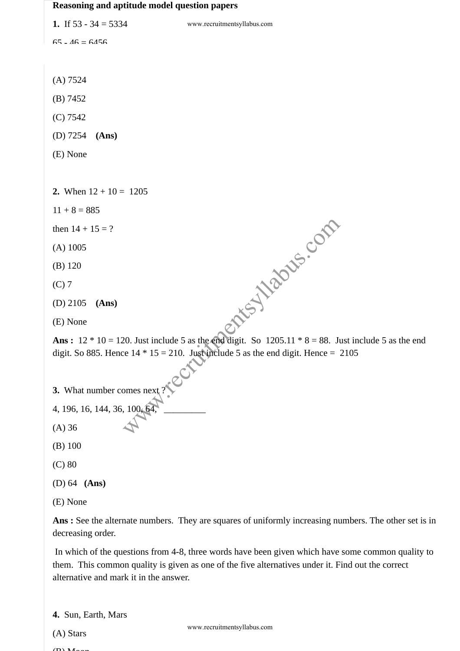## **Reasoning and aptitude model question papers**

| 1. If $53 - 34 = 5334$                                                                                                                                                                                                                          | www.recruitmentsyllabus.com                                                                        |
|-------------------------------------------------------------------------------------------------------------------------------------------------------------------------------------------------------------------------------------------------|----------------------------------------------------------------------------------------------------|
| $65 - 46 = 6456$                                                                                                                                                                                                                                |                                                                                                    |
|                                                                                                                                                                                                                                                 |                                                                                                    |
| (A) 7524                                                                                                                                                                                                                                        |                                                                                                    |
| (B) 7452                                                                                                                                                                                                                                        |                                                                                                    |
| (C) 7542                                                                                                                                                                                                                                        |                                                                                                    |
| $(D)$ 7254<br>(Ans)                                                                                                                                                                                                                             |                                                                                                    |
| (E) None                                                                                                                                                                                                                                        |                                                                                                    |
|                                                                                                                                                                                                                                                 |                                                                                                    |
| 2. When $12 + 10 = 1205$                                                                                                                                                                                                                        |                                                                                                    |
| $11 + 8 = 885$                                                                                                                                                                                                                                  |                                                                                                    |
| then $14 + 15 = ?$                                                                                                                                                                                                                              |                                                                                                    |
| $(A)$ 1005                                                                                                                                                                                                                                      |                                                                                                    |
| $(B)$ 120                                                                                                                                                                                                                                       |                                                                                                    |
| $(C)$ 7                                                                                                                                                                                                                                         |                                                                                                    |
| $(D)$ 2105<br>(Ans)                                                                                                                                                                                                                             |                                                                                                    |
| (E) None                                                                                                                                                                                                                                        | oftis is so the com-                                                                               |
| <b>Ans:</b> $12 * 10 = 120$ . Just include 5 as the end digit. So $1205.11 * 8 = 88$ . Just include 5 as the end                                                                                                                                |                                                                                                    |
|                                                                                                                                                                                                                                                 | digit. So 885. Hence $14 * 15 = 210$ . Just include 5 as the end digit. Hence = 2105               |
|                                                                                                                                                                                                                                                 |                                                                                                    |
| 3. What number comes next?                                                                                                                                                                                                                      |                                                                                                    |
| 4, 196, 16, 144, 36, 100, 64,                                                                                                                                                                                                                   |                                                                                                    |
| $(A)$ 36                                                                                                                                                                                                                                        |                                                                                                    |
| $(B)$ 100                                                                                                                                                                                                                                       |                                                                                                    |
| $(C)$ 80                                                                                                                                                                                                                                        |                                                                                                    |
| (D) 64 $(Ans)$                                                                                                                                                                                                                                  |                                                                                                    |
| (E) None                                                                                                                                                                                                                                        |                                                                                                    |
| decreasing order.                                                                                                                                                                                                                               | Ans: See the alternate numbers. They are squares of uniformly increasing numbers. The other set is |
| In which of the questions from 4-8, three words have been given which have some common quality t<br>them. This common quality is given as one of the five alternatives under it. Find out the correct<br>alternative and mark it in the answer. |                                                                                                    |
| 4. Sun, Earth, Mars                                                                                                                                                                                                                             |                                                                                                    |
| (A) Stars                                                                                                                                                                                                                                       | www.recruitmentsyllabus.com                                                                        |
|                                                                                                                                                                                                                                                 |                                                                                                    |

```
3. What number comes next ?
```

```
4, 196, 16, 144, 36, 100, 64,
```